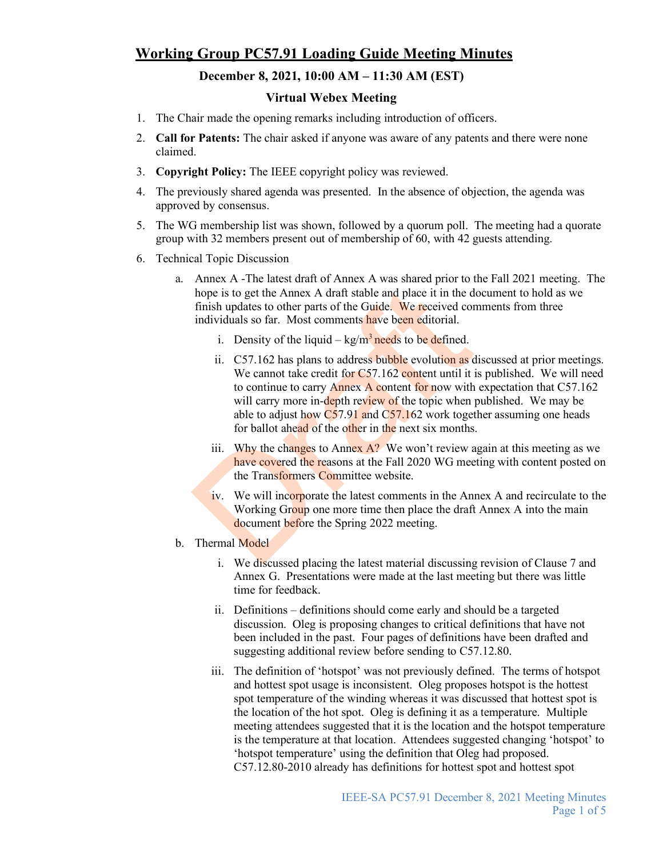## **Working Group PC57.91 Loading Guide Meeting Minutes**

## **December 8, 2021, 10:00 AM – 11:30 AM (EST)**

## **Virtual Webex Meeting**

- 1. The Chair made the opening remarks including introduction of officers.
- 2. **Call for Patents:** The chair asked if anyone was aware of any patents and there were none claimed.
- 3. **Copyright Policy:** The IEEE copyright policy was reviewed.
- 4. The previously shared agenda was presented. In the absence of objection, the agenda was approved by consensus.
- 5. The WG membership list was shown, followed by a quorum poll. The meeting had a quorate group with 32 members present out of membership of 60, with 42 guests attending.
- 6. Technical Topic Discussion
	- a. Annex A -The latest draft of Annex A was shared prior to the Fall 2021 meeting. The hope is to get the Annex A draft stable and place it in the document to hold as we finish updates to other parts of the Guide. We received comments from three individuals so far. Most comments have been editorial.
		- i. Density of the liquid  $kg/m^3$  needs to be defined.
		- ii.  $C$ 57.162 has plans to address bubble evolution as discussed at prior meetings. We cannot take credit for C57.162 content until it is published. We will need to continue to carry Annex A content for now with expectation that C57.162 will carry more in-depth review of the topic when published. We may be able to adjust how  $C57.91$  and  $C57.162$  work together assuming one heads for ballot ahead of the other in the next six months. hope is to get the Annex A draft stable and place it in the d<br>finish updates to other parts of the Guide. We received core<br>individuals so far. Most comments have been editorial.<br>i. Density of the liquid  $-$  kg/m<sup>3</sup> needs
			- iii. Why the changes to Annex  $A$ ? We won't review again at this meeting as we have covered the reasons at the Fall 2020 WG meeting with content posted on the Transformers Committee website.
			- iv. We will incorporate the latest comments in the Annex A and recirculate to the Working Group one more time then place the draft Annex A into the main document before the Spring 2022 meeting.
	- b. Thermal Model
		- i. We discussed placing the latest material discussing revision of Clause 7 and Annex G. Presentations were made at the last meeting but there was little time for feedback.
		- ii. Definitions definitions should come early and should be a targeted discussion. Oleg is proposing changes to critical definitions that have not been included in the past. Four pages of definitions have been drafted and suggesting additional review before sending to C57.12.80.
		- iii. The definition of 'hotspot' was not previously defined. The terms of hotspot and hottest spot usage is inconsistent. Oleg proposes hotspot is the hottest spot temperature of the winding whereas it was discussed that hottest spot is the location of the hot spot. Oleg is defining it as a temperature. Multiple meeting attendees suggested that it is the location and the hotspot temperature is the temperature at that location. Attendees suggested changing 'hotspot' to 'hotspot temperature' using the definition that Oleg had proposed. C57.12.80-2010 already has definitions for hottest spot and hottest spot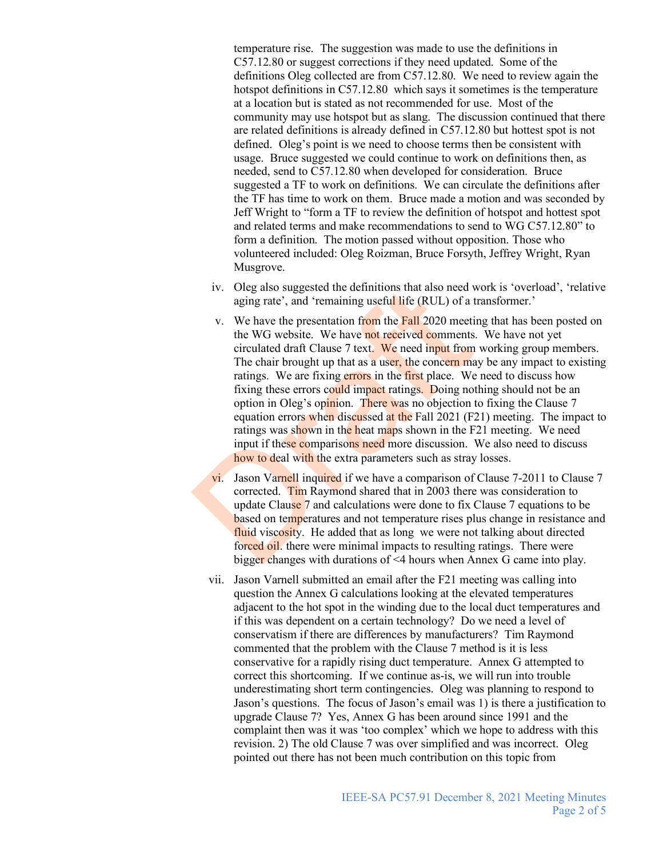temperature rise. The suggestion was made to use the definitions in C57.12.80 or suggest corrections if they need updated. Some of the definitions Oleg collected are from C57.12.80. We need to review again the hotspot definitions in C57.12.80 which says it sometimes is the temperature at a location but is stated as not recommended for use. Most of the community may use hotspot but as slang. The discussion continued that there are related definitions is already defined in C57.12.80 but hottest spot is not defined. Oleg's point is we need to choose terms then be consistent with usage. Bruce suggested we could continue to work on definitions then, as needed, send to C57.12.80 when developed for consideration. Bruce suggested a TF to work on definitions. We can circulate the definitions after the TF has time to work on them. Bruce made a motion and was seconded by Jeff Wright to "form a TF to review the definition of hotspot and hottest spot and related terms and make recommendations to send to WG C57.12.80" to form a definition. The motion passed without opposition. Those who volunteered included: Oleg Roizman, Bruce Forsyth, Jeffrey Wright, Ryan Musgrove.

- iv. Oleg also suggested the definitions that also need work is 'overload', 'relative aging rate', and 'remaining useful life (RUL) of a transformer.'
- v. We have the presentation from the Fall 2020 meeting that has been posted on the WG website. We have not received comments. We have not yet circulated draft Clause 7 text. We need input from working group members. The chair brought up that as a user, the concern may be any impact to existing ratings. We are fixing errors in the first place. We need to discuss how fixing these errors could impact ratings. Doing nothing should not be an option in Oleg's opinion. There was no objection to fixing the Clause 7 equation errors when discussed at the Fall 2021 (F21) meeting. The impact to ratings was shown in the heat maps shown in the F21 meeting. We need input if these comparisons need more discussion. We also need to discuss how to deal with the extra parameters such as stray losses. iv. Oleg also suggested the definitions that also need v<br>aging rate', and 'remaining useful life (RUL) of a t<br>v. We have the presentation from the Fall 2020 meetit<br>the WG website. We have not received comments<br>circulated
	- vi. Jason Varnell inquired if we have a comparison of Clause 7-2011 to Clause 7 corrected. Tim Raymond shared that in 2003 there was consideration to update Clause 7 and calculations were done to fix Clause 7 equations to be **based on temperatures and not temperature rises plus change in resistance and** fluid viscosity. He added that as long we were not talking about directed forced oil. there were minimal impacts to resulting ratings. There were bigger changes with durations of <4 hours when Annex G came into play.
	- vii. Jason Varnell submitted an email after the F21 meeting was calling into question the Annex G calculations looking at the elevated temperatures adjacent to the hot spot in the winding due to the local duct temperatures and if this was dependent on a certain technology? Do we need a level of conservatism if there are differences by manufacturers? Tim Raymond commented that the problem with the Clause 7 method is it is less conservative for a rapidly rising duct temperature. Annex G attempted to correct this shortcoming. If we continue as-is, we will run into trouble underestimating short term contingencies. Oleg was planning to respond to Jason's questions. The focus of Jason's email was 1) is there a justification to upgrade Clause 7? Yes, Annex G has been around since 1991 and the complaint then was it was 'too complex' which we hope to address with this revision. 2) The old Clause 7 was over simplified and was incorrect. Oleg pointed out there has not been much contribution on this topic from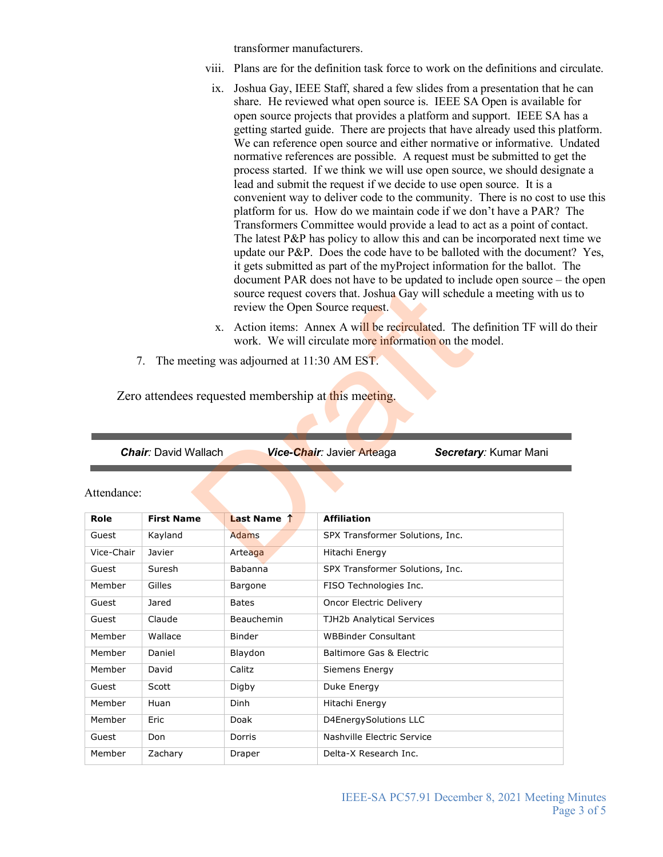transformer manufacturers.

- viii. Plans are for the definition task force to work on the definitions and circulate.
- ix. Joshua Gay, IEEE Staff, shared a few slides from a presentation that he can share. He reviewed what open source is. IEEE SA Open is available for open source projects that provides a platform and support. IEEE SA has a getting started guide. There are projects that have already used this platform. We can reference open source and either normative or informative. Undated normative references are possible. A request must be submitted to get the process started. If we think we will use open source, we should designate a lead and submit the request if we decide to use open source. It is a convenient way to deliver code to the community. There is no cost to use this platform for us. How do we maintain code if we don't have a PAR? The Transformers Committee would provide a lead to act as a point of contact. The latest P&P has policy to allow this and can be incorporated next time we update our P&P. Does the code have to be balloted with the document? Yes, it gets submitted as part of the myProject information for the ballot. The document PAR does not have to be updated to include open source – the open source request covers that. Joshua Gay will schedule a meeting with us to review the Open Source request.
- x. Action items: Annex A will be recirculated. The definition TF will do their work. We will circulate more information on the model.
- 7. The meeting was adjourned at 11:30 AM EST.

| <i>Chair:</i> David Wallach | Vice-Chair: Javier Arteaga | Secretary: Kumar Mani |
|-----------------------------|----------------------------|-----------------------|
|                             |                            |                       |

|             | source request covers that. Joshua Gay will schedule a meeting with<br>review the Open Source request. |                                                                                                                              |                                                     |  |
|-------------|--------------------------------------------------------------------------------------------------------|------------------------------------------------------------------------------------------------------------------------------|-----------------------------------------------------|--|
|             | X.                                                                                                     | Action items: Annex A will be recirculated. The definition TF will<br>work. We will circulate more information on the model. |                                                     |  |
|             | 7.                                                                                                     | The meeting was adjourned at 11:30 AM EST.                                                                                   |                                                     |  |
|             |                                                                                                        |                                                                                                                              |                                                     |  |
|             |                                                                                                        | Zero attendees requested membership at this meeting.                                                                         |                                                     |  |
|             |                                                                                                        |                                                                                                                              |                                                     |  |
|             |                                                                                                        |                                                                                                                              |                                                     |  |
|             |                                                                                                        |                                                                                                                              |                                                     |  |
|             | <b>Chair: David Wallach</b>                                                                            |                                                                                                                              | Vice-Chair: Javier Arteaga<br>Secretary: Kumar Mani |  |
|             |                                                                                                        |                                                                                                                              |                                                     |  |
| Attendance: |                                                                                                        |                                                                                                                              |                                                     |  |
|             |                                                                                                        |                                                                                                                              |                                                     |  |
| Role        | <b>First Name</b>                                                                                      | Last Name 1                                                                                                                  | <b>Affiliation</b>                                  |  |
| Guest       | Kayland                                                                                                | <b>Adams</b>                                                                                                                 | SPX Transformer Solutions, Inc.                     |  |
| Vice-Chair  | Javier                                                                                                 | Arteaga                                                                                                                      | Hitachi Energy                                      |  |
| Guest       | Suresh                                                                                                 | <b>Babanna</b>                                                                                                               | SPX Transformer Solutions, Inc.                     |  |
| Member      | Gilles                                                                                                 | Bargone                                                                                                                      | FISO Technologies Inc.                              |  |
| Guest       | Jared                                                                                                  | <b>Bates</b>                                                                                                                 | Oncor Electric Delivery                             |  |
| Guest       | Claude                                                                                                 | Beauchemin                                                                                                                   | TJH2b Analytical Services                           |  |
| Member      | Wallace                                                                                                | Binder                                                                                                                       | <b>WBBinder Consultant</b>                          |  |
| Member      | Daniel                                                                                                 | Blaydon                                                                                                                      | Baltimore Gas & Electric                            |  |
| Member      | David                                                                                                  | Calitz                                                                                                                       | Siemens Energy                                      |  |
| Guest       | Scott                                                                                                  | Digby                                                                                                                        | Duke Energy                                         |  |
| Member      | Huan                                                                                                   | Dinh                                                                                                                         | Hitachi Energy                                      |  |
| Member      | Eric                                                                                                   | Doak                                                                                                                         | D4EnergySolutions LLC                               |  |
| Guest       | Don                                                                                                    | Dorris                                                                                                                       | <b>Nashville Electric Service</b>                   |  |
| Member      | Zachary                                                                                                | Draper                                                                                                                       | Delta-X Research Inc.                               |  |
|             |                                                                                                        |                                                                                                                              |                                                     |  |

## Attendance: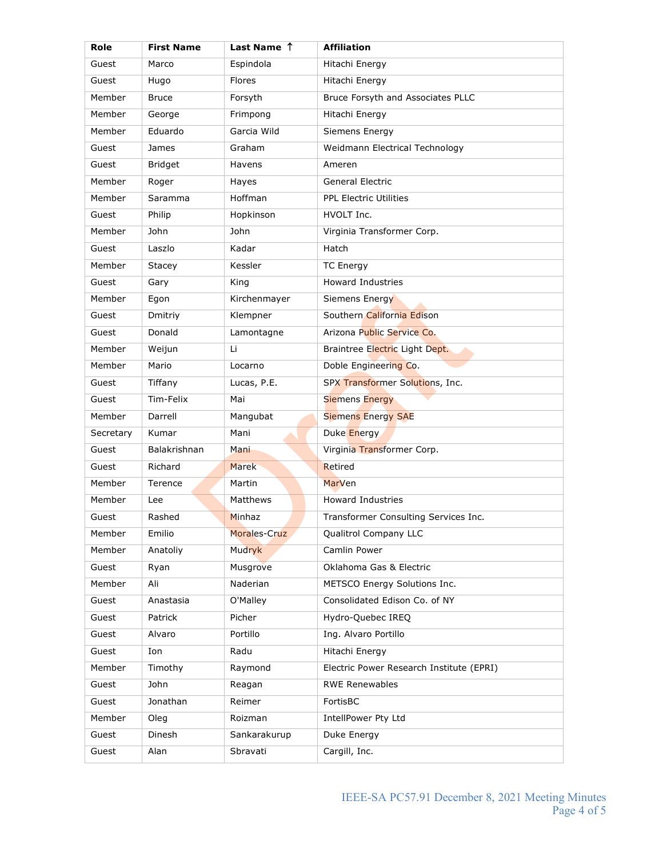| Role      | <b>First Name</b> | Last Name 1   | <b>Affiliation</b>                       |
|-----------|-------------------|---------------|------------------------------------------|
| Guest     | Marco             | Espindola     | Hitachi Energy                           |
| Guest     | Hugo              | <b>Flores</b> | Hitachi Energy                           |
| Member    | <b>Bruce</b>      | Forsyth       | Bruce Forsyth and Associates PLLC        |
| Member    | George            | Frimpong      | Hitachi Energy                           |
| Member    | Eduardo           | Garcia Wild   | Siemens Energy                           |
| Guest     | James             | Graham        | Weidmann Electrical Technology           |
| Guest     | <b>Bridget</b>    | Havens        | Ameren                                   |
| Member    | Roger             | Hayes         | <b>General Electric</b>                  |
| Member    | Saramma           | Hoffman       | <b>PPL Electric Utilities</b>            |
| Guest     | Philip            | Hopkinson     | HVOLT Inc.                               |
| Member    | John              | John          | Virginia Transformer Corp.               |
| Guest     | Laszlo            | Kadar         | Hatch                                    |
| Member    | Stacey            | Kessler       | <b>TC Energy</b>                         |
| Guest     | Gary              | King          | <b>Howard Industries</b>                 |
| Member    | Egon              | Kirchenmayer  | Siemens Energy                           |
| Guest     | Dmitriy           | Klempner      | Southern California Edison               |
| Guest     | Donald            | Lamontagne    | Arizona Public Service Co.               |
| Member    | Weijun            | Li            | Braintree Electric Light Dept.           |
| Member    | Mario             | Locarno       | Doble Engineering Co.                    |
| Guest     | Tiffany           | Lucas, P.E.   | SPX Transformer Solutions, Inc.          |
| Guest     | Tim-Felix         | Mai           | <b>Siemens Energy</b>                    |
| Member    | Darrell           | Mangubat      | <b>Siemens Energy SAE</b>                |
| Secretary | Kumar             | Mani          | Duke Energy                              |
| Guest     | Balakrishnan      | Mani          | Virginia Transformer Corp.               |
| Guest     | Richard           | <b>Marek</b>  | Retired                                  |
| Member    | Terence           | Martin        | MarVen                                   |
| Member    | Lee               | Matthews      | <b>Howard Industries</b>                 |
| Guest     | Rashed            | Minhaz        | Transformer Consulting Services Inc.     |
| Member    | Emilio            | Morales-Cruz  | Qualitrol Company LLC                    |
| Member    | Anatoliy          | Mudryk        | Camlin Power                             |
| Guest     | Ryan              | Musgrove      | Oklahoma Gas & Electric                  |
| Member    | Ali               | Naderian      | METSCO Energy Solutions Inc.             |
| Guest     | Anastasia         | O'Malley      | Consolidated Edison Co. of NY            |
| Guest     | Patrick           | Picher        | Hydro-Quebec IREQ                        |
| Guest     | Alvaro            | Portillo      | Ing. Alvaro Portillo                     |
| Guest     | Ion               | Radu          | Hitachi Energy                           |
| Member    | Timothy           | Raymond       | Electric Power Research Institute (EPRI) |
| Guest     | John              | Reagan        | <b>RWE Renewables</b>                    |
| Guest     | Jonathan          | Reimer        | FortisBC                                 |
| Member    | Oleg              | Roizman       | IntellPower Pty Ltd                      |
| Guest     | Dinesh            | Sankarakurup  | Duke Energy                              |
| Guest     | Alan              | Sbravati      | Cargill, Inc.                            |